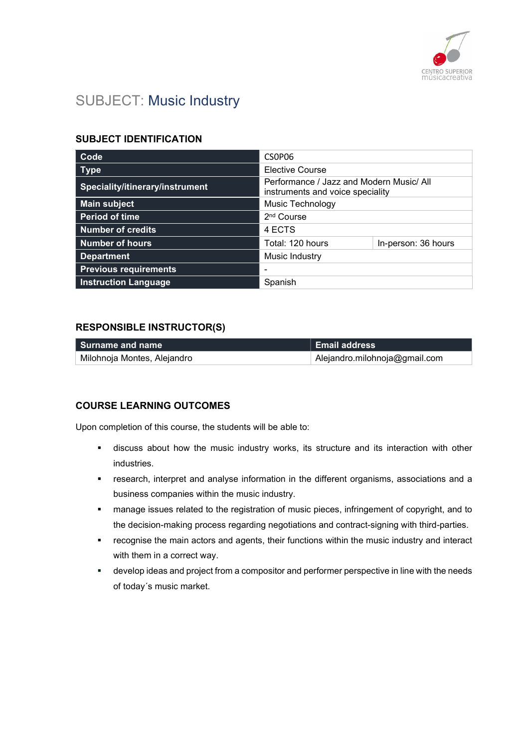

# SUBJECT: Music Industry

### SUBJECT IDENTIFICATION

| Code                            | CSOPO6                                                                       |                     |
|---------------------------------|------------------------------------------------------------------------------|---------------------|
| <b>Type</b>                     | <b>Elective Course</b>                                                       |                     |
| Speciality/itinerary/instrument | Performance / Jazz and Modern Music/ All<br>instruments and voice speciality |                     |
| <b>Main subject</b>             | <b>Music Technology</b>                                                      |                     |
| <b>Period of time</b>           | 2 <sup>nd</sup> Course                                                       |                     |
| <b>Number of credits</b>        | 4 ECTS                                                                       |                     |
| <b>Number of hours</b>          | Total: 120 hours                                                             | In-person: 36 hours |
| <b>Department</b>               | Music Industry                                                               |                     |
| <b>Previous requirements</b>    |                                                                              |                     |
| <b>Instruction Language</b>     | Spanish                                                                      |                     |

### RESPONSIBLE INSTRUCTOR(S)

| l Surname and name          | <b>Email address</b>          |
|-----------------------------|-------------------------------|
| Milohnoja Montes, Alejandro | Alejandro.milohnoja@gmail.com |

## COURSE LEARNING OUTCOMES

Upon completion of this course, the students will be able to:

- discuss about how the music industry works, its structure and its interaction with other industries.
- research, interpret and analyse information in the different organisms, associations and a business companies within the music industry.
- **EXEDENT** manage issues related to the registration of music pieces, infringement of copyright, and to the decision-making process regarding negotiations and contract-signing with third-parties.
- recognise the main actors and agents, their functions within the music industry and interact with them in a correct way.
- develop ideas and project from a compositor and performer perspective in line with the needs of today´s music market.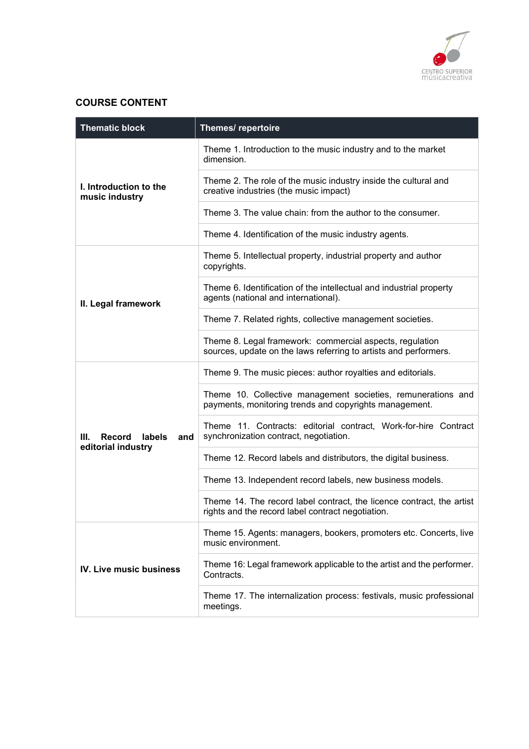

# COURSE CONTENT

| <b>Thematic block</b>                    | Themes/ repertoire                                                                                                           |
|------------------------------------------|------------------------------------------------------------------------------------------------------------------------------|
|                                          | Theme 1. Introduction to the music industry and to the market<br>dimension.                                                  |
| I. Introduction to the<br>music industry | Theme 2. The role of the music industry inside the cultural and<br>creative industries (the music impact)                    |
|                                          | Theme 3. The value chain: from the author to the consumer.                                                                   |
|                                          | Theme 4. Identification of the music industry agents.                                                                        |
| II. Legal framework                      | Theme 5. Intellectual property, industrial property and author<br>copyrights.                                                |
|                                          | Theme 6. Identification of the intellectual and industrial property<br>agents (national and international).                  |
|                                          | Theme 7. Related rights, collective management societies.                                                                    |
|                                          | Theme 8. Legal framework: commercial aspects, regulation<br>sources, update on the laws referring to artists and performers. |
|                                          | Theme 9. The music pieces: author royalties and editorials.                                                                  |
|                                          | Theme 10. Collective management societies, remunerations and<br>payments, monitoring trends and copyrights management.       |
| Record<br>labels<br>III.<br>and          | Theme 11. Contracts: editorial contract, Work-for-hire Contract<br>synchronization contract, negotiation.                    |
| editorial industry                       | Theme 12. Record labels and distributors, the digital business.                                                              |
|                                          | Theme 13. Independent record labels, new business models.                                                                    |
|                                          | Theme 14. The record label contract, the licence contract, the artist<br>rights and the record label contract negotiation.   |
| IV. Live music business                  | Theme 15. Agents: managers, bookers, promoters etc. Concerts, live<br>music environment.                                     |
|                                          | Theme 16: Legal framework applicable to the artist and the performer.<br>Contracts.                                          |
|                                          | Theme 17. The internalization process: festivals, music professional<br>meetings.                                            |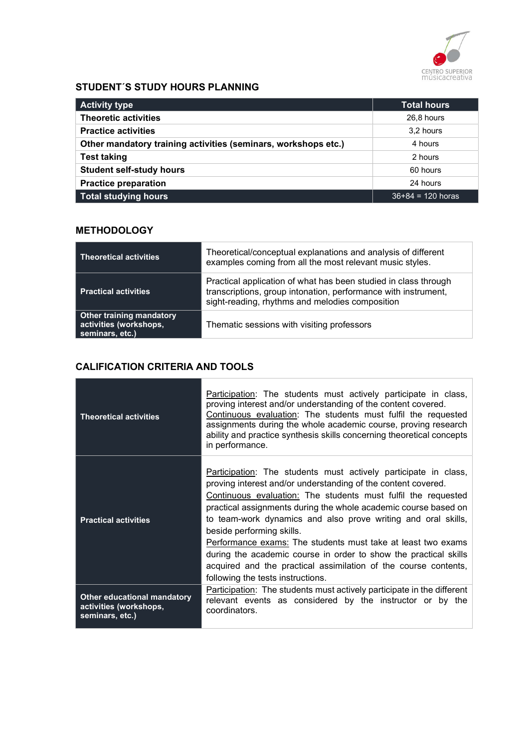

# STUDENT´S STUDY HOURS PLANNING

| <b>Activity type</b>                                           | <b>Total hours</b>  |
|----------------------------------------------------------------|---------------------|
| <b>Theoretic activities</b>                                    | 26,8 hours          |
| <b>Practice activities</b>                                     | 3.2 hours           |
| Other mandatory training activities (seminars, workshops etc.) | 4 hours             |
| <b>Test taking</b>                                             | 2 hours             |
| <b>Student self-study hours</b>                                | 60 hours            |
| <b>Practice preparation</b>                                    | 24 hours            |
| <b>Total studying hours</b>                                    | $36+84 = 120$ horas |

### **METHODOLOGY**

| <b>Theoretical activities</b>                                                | Theoretical/conceptual explanations and analysis of different<br>examples coming from all the most relevant music styles.                                                            |
|------------------------------------------------------------------------------|--------------------------------------------------------------------------------------------------------------------------------------------------------------------------------------|
| <b>Practical activities</b>                                                  | Practical application of what has been studied in class through<br>transcriptions, group intonation, performance with instrument,<br>sight-reading, rhythms and melodies composition |
| <b>Other training mandatory</b><br>activities (workshops,<br>seminars, etc.) | Thematic sessions with visiting professors                                                                                                                                           |

# CALIFICATION CRITERIA AND TOOLS

| <b>Theoretical activities</b>                                                   | Participation: The students must actively participate in class,<br>proving interest and/or understanding of the content covered.<br>Continuous evaluation: The students must fulfil the requested<br>assignments during the whole academic course, proving research<br>ability and practice synthesis skills concerning theoretical concepts<br>in performance.                                                                                                                                                                                                                                                       |
|---------------------------------------------------------------------------------|-----------------------------------------------------------------------------------------------------------------------------------------------------------------------------------------------------------------------------------------------------------------------------------------------------------------------------------------------------------------------------------------------------------------------------------------------------------------------------------------------------------------------------------------------------------------------------------------------------------------------|
| <b>Practical activities</b>                                                     | <b>Participation:</b> The students must actively participate in class,<br>proving interest and/or understanding of the content covered.<br>Continuous evaluation: The students must fulfil the requested<br>practical assignments during the whole academic course based on<br>to team-work dynamics and also prove writing and oral skills,<br>beside performing skills.<br>Performance exams: The students must take at least two exams<br>during the academic course in order to show the practical skills<br>acquired and the practical assimilation of the course contents,<br>following the tests instructions. |
| <b>Other educational mandatory</b><br>activities (workshops,<br>seminars, etc.) | <b>Participation:</b> The students must actively participate in the different<br>relevant events as considered by the instructor or by the<br>coordinators.                                                                                                                                                                                                                                                                                                                                                                                                                                                           |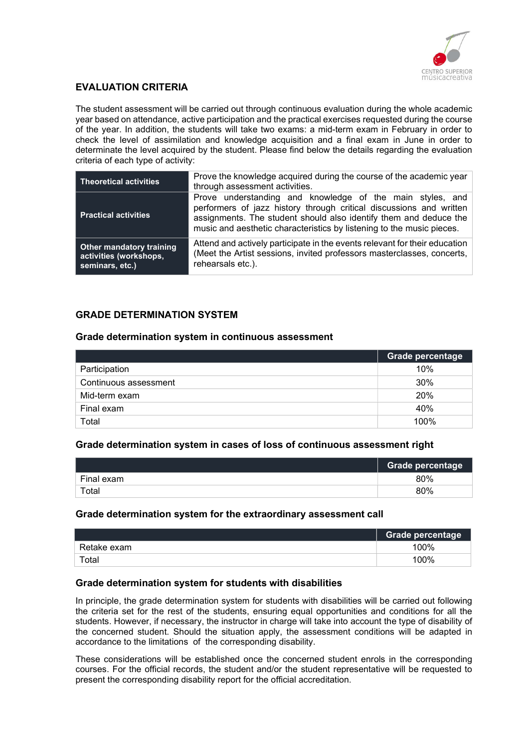

### EVALUATION CRITERIA

The student assessment will be carried out through continuous evaluation during the whole academic year based on attendance, active participation and the practical exercises requested during the course of the year. In addition, the students will take two exams: a mid-term exam in February in order to check the level of assimilation and knowledge acquisition and a final exam in June in order to determinate the level acquired by the student. Please find below the details regarding the evaluation criteria of each type of activity:

| <b>Theoretical activities</b>                                                | Prove the knowledge acquired during the course of the academic year<br>through assessment activities.                                                                                                                                                                          |
|------------------------------------------------------------------------------|--------------------------------------------------------------------------------------------------------------------------------------------------------------------------------------------------------------------------------------------------------------------------------|
| <b>Practical activities</b>                                                  | Prove understanding and knowledge of the main styles, and<br>performers of jazz history through critical discussions and written<br>assignments. The student should also identify them and deduce the<br>music and aesthetic characteristics by listening to the music pieces. |
| <b>Other mandatory training</b><br>activities (workshops,<br>seminars, etc.) | Attend and actively participate in the events relevant for their education<br>(Meet the Artist sessions, invited professors masterclasses, concerts,<br>rehearsals etc.).                                                                                                      |

#### GRADE DETERMINATION SYSTEM

#### Grade determination system in continuous assessment

|                       | Grade percentage |
|-----------------------|------------------|
| Participation         | 10%              |
| Continuous assessment | 30%              |
| Mid-term exam         | 20%              |
| Final exam            | 40%              |
| Total                 | 100%             |

#### Grade determination system in cases of loss of continuous assessment right

|            | Grade percentage |
|------------|------------------|
| Final exam | 80%              |
| Total      | 80%              |

#### Grade determination system for the extraordinary assessment call

|             | <b>Grade percentage</b> |
|-------------|-------------------------|
| Retake exam | 100%                    |
| Total       | 100%                    |

#### Grade determination system for students with disabilities

In principle, the grade determination system for students with disabilities will be carried out following the criteria set for the rest of the students, ensuring equal opportunities and conditions for all the students. However, if necessary, the instructor in charge will take into account the type of disability of the concerned student. Should the situation apply, the assessment conditions will be adapted in accordance to the limitations of the corresponding disability.

These considerations will be established once the concerned student enrols in the corresponding courses. For the official records, the student and/or the student representative will be requested to present the corresponding disability report for the official accreditation.